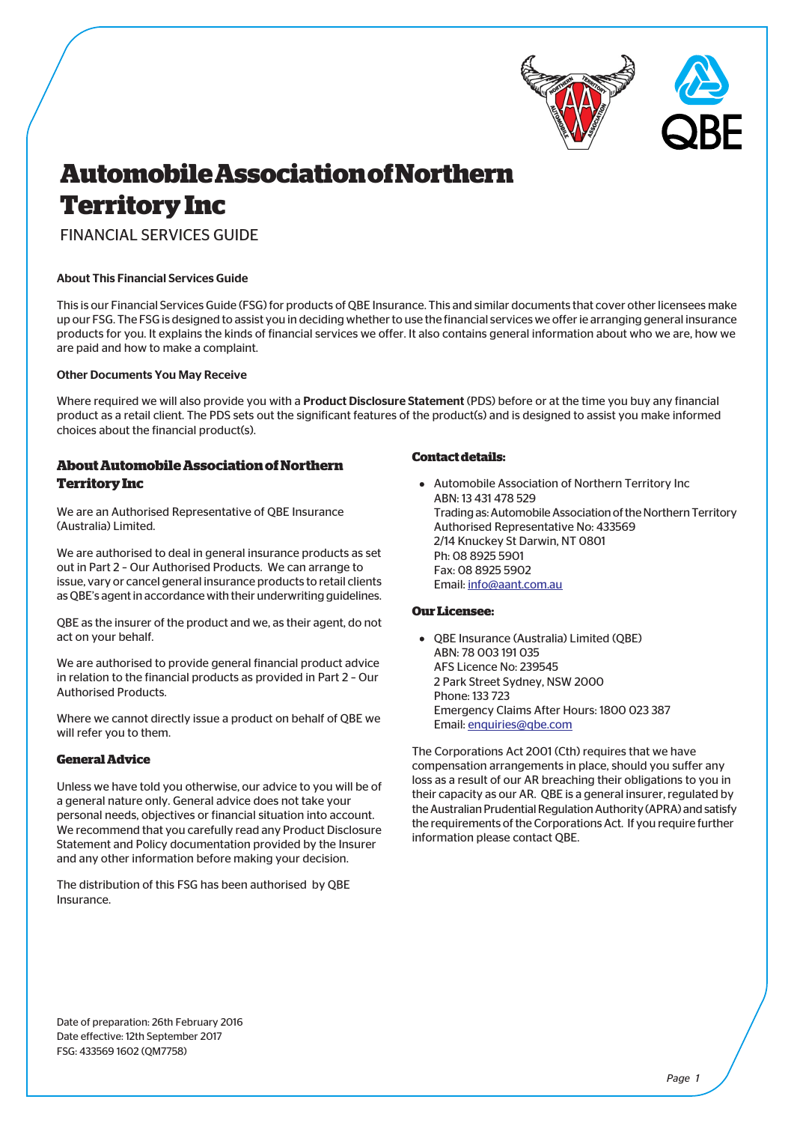



# **Automobile Association of Northern Territory Inc**

FINANCIAL SERVICES GUIDE

## About This Financial Services Guide

This is our Financial Services Guide (FSG) for products of QBE Insurance. This and similar documents that cover other licensees make up our FSG. The FSG is designed to assist you in deciding whether to use the financial services we offer ie arranging general insurance products for you. It explains the kinds of financial services we offer. It also contains general information about who we are, how we are paid and how to make a complaint.

### Other Documents You May Receive

Where required we will also provide you with a **Product Disclosure Statement** (PDS) before or at the time you buy any financial product as a retail client. The PDS sets out the significant features of the product(s) and is designed to assist you make informed choices about the financial product(s).

## **About Automobile Association of Northern Territory Inc**

We are an Authorised Representative of QBE Insurance (Australia) Limited.

We are authorised to deal in general insurance products as set out in Part 2 – Our Authorised Products. We can arrange to issue, vary or cancel general insurance products to retail clients as QBE's agent in accordance with their underwriting guidelines.

QBE as the insurer of the product and we, as their agent, do not act on your behalf.

We are authorised to provide general financial product advice in relation to the financial products as provided in Part 2 – Our Authorised Products.

Where we cannot directly issue a product on behalf of QBE we will refer you to them.

## **General Advice**

Unless we have told you otherwise, our advice to you will be of a general nature only. General advice does not take your personal needs, objectives or financial situation into account. We recommend that you carefully read any Product Disclosure Statement and Policy documentation provided by the Insurer and any other information before making your decision.

The distribution of this FSG has been authorised by QBE Insurance.

#### **Contact details:**

Automobile Association of Northern Territory Inc ABN: 13 431 478 529 Trading as: Automobile Association of the Northern Territory Authorised Representative No: 433569 2/14 Knuckey St Darwin, NT 0801 Ph: 08 8925 5901 Fax: 08 8925 5902 Email: [info@aant.com.au](mailto:info@aant.com.au)

## **Our Licensee:**

QBE Insurance (Australia) Limited (QBE) ABN: 78 003 191 035 AFS Licence No: 239545 2 Park Street Sydney, NSW 2000 Phone: 133 723 Emergency Claims After Hours: 1800 023 387 Email: [enquiries@qbe.com](mailto:enquiries@qbe.com)

The Corporations Act 2001 (Cth) requires that we have compensation arrangements in place, should you suffer any loss as a result of our AR breaching their obligations to you in their capacity as our AR. QBE is a general insurer, regulated by the Australian Prudential Regulation Authority (APRA) and satisfy the requirements of the Corporations Act. If you require further information please contact QBE.

Date of preparation: 26th February 2016 Date effective: 12th September 2017 FSG: 433569 1602 (QM7758)